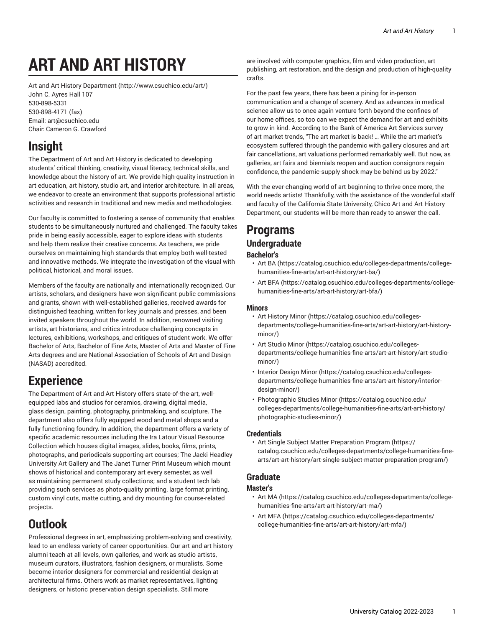# **ART AND ART HISTORY**

Art and Art History [Department](http://www.csuchico.edu/art/) [\(http://www.csuchico.edu/art/\)](http://www.csuchico.edu/art/) John C. Ayres Hall 107 [530-898-5331](tel:530-898-5331) [530-898-4171 \(fax\)](tel:530-898-4171) Email: [art@csuchico.edu](mailto:art@csuchico.edu) Chair: Cameron G. Crawford

# **Insight**

The Department of Art and Art History is dedicated to developing students' critical thinking, creativity, visual literacy, technical skills, and knowledge about the history of art. We provide high-quality instruction in art education, art history, studio art, and interior architecture. In all areas, we endeavor to create an environment that supports professional artistic activities and research in traditional and new media and methodologies.

Our faculty is committed to fostering a sense of community that enables students to be simultaneously nurtured and challenged. The faculty takes pride in being easily accessible, eager to explore ideas with students and help them realize their creative concerns. As teachers, we pride ourselves on maintaining high standards that employ both well-tested and innovative methods. We integrate the investigation of the visual with political, historical, and moral issues.

Members of the faculty are nationally and internationally recognized. Our artists, scholars, and designers have won significant public commissions and grants, shown with well-established galleries, received awards for distinguished teaching, written for key journals and presses, and been invited speakers throughout the world. In addition, renowned visiting artists, art historians, and critics introduce challenging concepts in lectures, exhibitions, workshops, and critiques of student work. We offer Bachelor of Arts, Bachelor of Fine Arts, Master of Arts and Master of Fine Arts degrees and are National Association of Schools of Art and Design (NASAD) accredited.

# **Experience**

The Department of Art and Art History offers state-of-the-art, wellequipped labs and studios for ceramics, drawing, digital media, glass design, painting, photography, printmaking, and sculpture. The department also offers fully equipped wood and metal shops and a fully functioning foundry. In addition, the department offers a variety of specific academic resources including the Ira Latour Visual Resource Collection which houses digital images, slides, books, films, prints, photographs, and periodicals supporting art courses; The Jacki Headley University Art Gallery and The Janet Turner Print Museum which mount shows of historical and contemporary art every semester, as well as maintaining permanent study collections; and a student tech lab providing such services as photo-quality printing, large format printing, custom vinyl cuts, matte cutting, and dry mounting for course-related projects.

# **Outlook**

Professional degrees in art, emphasizing problem-solving and creativity, lead to an endless variety of career opportunities. Our art and art history alumni teach at all levels, own galleries, and work as studio artists, museum curators, illustrators, fashion designers, or muralists. Some become interior designers for commercial and residential design at architectural firms. Others work as market representatives, lighting designers, or historic preservation design specialists. Still more

are involved with computer graphics, film and video production, art publishing, art restoration, and the design and production of high-quality crafts.

For the past few years, there has been a pining for in-person communication and a change of scenery. And as advances in medical science allow us to once again venture forth beyond the confines of our home offices, so too can we expect the demand for art and exhibits to grow in kind. According to the Bank of America Art Services survey of art market trends, "The art market is back! … While the art market's ecosystem suffered through the pandemic with gallery closures and art fair cancellations, art valuations performed remarkably well. But now, as galleries, art fairs and biennials reopen and auction consignors regain confidence, the pandemic-supply shock may be behind us by 2022."

With the ever-changing world of art beginning to thrive once more, the world needs artists! Thankfully, with the assistance of the wonderful staff and faculty of the California State University, Chico Art and Art History Department, our students will be more than ready to answer the call.

# **Programs Undergraduate**

# **Bachelor's**

- [Art](https://catalog.csuchico.edu/colleges-departments/college-humanities-fine-arts/art-art-history/art-ba/) BA [\(https://catalog.csuchico.edu/colleges-departments/college](https://catalog.csuchico.edu/colleges-departments/college-humanities-fine-arts/art-art-history/art-ba/)[humanities-fine-arts/art-art-history/art-ba/](https://catalog.csuchico.edu/colleges-departments/college-humanities-fine-arts/art-art-history/art-ba/))
- Art [BFA \(https://catalog.csuchico.edu/colleges-departments/college](https://catalog.csuchico.edu/colleges-departments/college-humanities-fine-arts/art-art-history/art-bfa/)[humanities-fine-arts/art-art-history/art-bfa/](https://catalog.csuchico.edu/colleges-departments/college-humanities-fine-arts/art-art-history/art-bfa/))

## **Minors**

- Art [History](https://catalog.csuchico.edu/colleges-departments/college-humanities-fine-arts/art-art-history/art-history-minor/) Minor ([https://catalog.csuchico.edu/colleges](https://catalog.csuchico.edu/colleges-departments/college-humanities-fine-arts/art-art-history/art-history-minor/)[departments/college-humanities-fine-arts/art-art-history/art-history](https://catalog.csuchico.edu/colleges-departments/college-humanities-fine-arts/art-art-history/art-history-minor/)[minor/\)](https://catalog.csuchico.edu/colleges-departments/college-humanities-fine-arts/art-art-history/art-history-minor/)
- Art [Studio](https://catalog.csuchico.edu/colleges-departments/college-humanities-fine-arts/art-art-history/art-studio-minor/) Minor ([https://catalog.csuchico.edu/colleges](https://catalog.csuchico.edu/colleges-departments/college-humanities-fine-arts/art-art-history/art-studio-minor/)[departments/college-humanities-fine-arts/art-art-history/art-studio](https://catalog.csuchico.edu/colleges-departments/college-humanities-fine-arts/art-art-history/art-studio-minor/)[minor/\)](https://catalog.csuchico.edu/colleges-departments/college-humanities-fine-arts/art-art-history/art-studio-minor/)
- [Interior Design Minor \(https://catalog.csuchico.edu/colleges](https://catalog.csuchico.edu/colleges-departments/college-humanities-fine-arts/art-art-history/interior-design-minor/)[departments/college-humanities-fine-arts/art-art-history/interior](https://catalog.csuchico.edu/colleges-departments/college-humanities-fine-arts/art-art-history/interior-design-minor/)[design-minor/\)](https://catalog.csuchico.edu/colleges-departments/college-humanities-fine-arts/art-art-history/interior-design-minor/)
- [Photographic Studies Minor](https://catalog.csuchico.edu/colleges-departments/college-humanities-fine-arts/art-art-history/photographic-studies-minor/) ([https://catalog.csuchico.edu/](https://catalog.csuchico.edu/colleges-departments/college-humanities-fine-arts/art-art-history/photographic-studies-minor/) [colleges-departments/college-humanities-fine-arts/art-art-history/](https://catalog.csuchico.edu/colleges-departments/college-humanities-fine-arts/art-art-history/photographic-studies-minor/) [photographic-studies-minor/](https://catalog.csuchico.edu/colleges-departments/college-humanities-fine-arts/art-art-history/photographic-studies-minor/))

### **Credentials**

• Art Single Subject Matter [Preparation](https://catalog.csuchico.edu/colleges-departments/college-humanities-fine-arts/art-art-history/art-single-subject-matter-preparation-program/) Program [\(https://](https://catalog.csuchico.edu/colleges-departments/college-humanities-fine-arts/art-art-history/art-single-subject-matter-preparation-program/) [catalog.csuchico.edu/colleges-departments/college-humanities-fine](https://catalog.csuchico.edu/colleges-departments/college-humanities-fine-arts/art-art-history/art-single-subject-matter-preparation-program/)[arts/art-art-history/art-single-subject-matter-preparation-program/](https://catalog.csuchico.edu/colleges-departments/college-humanities-fine-arts/art-art-history/art-single-subject-matter-preparation-program/))

# **Graduate**

## **Master's**

- Art [MA](https://catalog.csuchico.edu/colleges-departments/college-humanities-fine-arts/art-art-history/art-ma/) [\(https://catalog.csuchico.edu/colleges-departments/college](https://catalog.csuchico.edu/colleges-departments/college-humanities-fine-arts/art-art-history/art-ma/)[humanities-fine-arts/art-art-history/art-ma/\)](https://catalog.csuchico.edu/colleges-departments/college-humanities-fine-arts/art-art-history/art-ma/)
- Art [MFA \(https://catalog.csuchico.edu/colleges-departments/](https://catalog.csuchico.edu/colleges-departments/college-humanities-fine-arts/art-art-history/art-mfa/) [college-humanities-fine-arts/art-art-history/art-mfa/\)](https://catalog.csuchico.edu/colleges-departments/college-humanities-fine-arts/art-art-history/art-mfa/)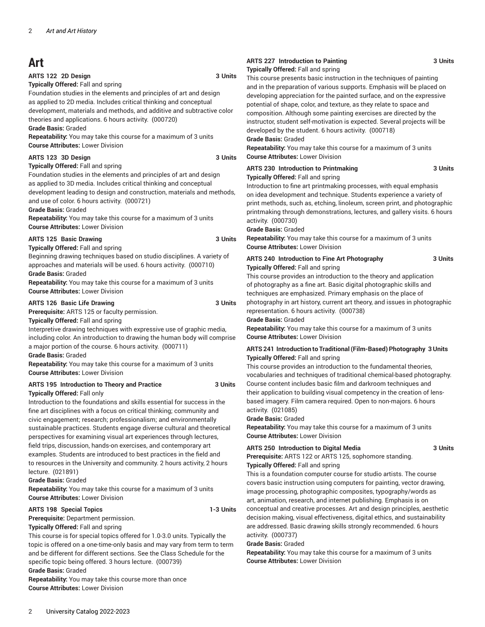# **Art**

#### **ARTS 122 2D Design 3 Units**

**Typically Offered:** Fall and spring

Foundation studies in the elements and principles of art and design as applied to 2D media. Includes critical thinking and conceptual development, materials and methods, and additive and subtractive color theories and applications. 6 hours activity. (000720)

#### **Grade Basis:** Graded

**Repeatability:** You may take this course for a maximum of 3 units **Course Attributes:** Lower Division

#### **ARTS 123 3D Design 3 Units**

Foundation studies in the elements and principles of art and design as applied to 3D media. Includes critical thinking and conceptual development leading to design and construction, materials and methods, and use of color. 6 hours activity. (000721)

**Grade Basis:** Graded

**Repeatability:** You may take this course for a maximum of 3 units **Course Attributes:** Lower Division

#### **ARTS 125 Basic Drawing 3 Units**

**Typically Offered:** Fall and spring

**Typically Offered:** Fall and spring

Beginning drawing techniques based on studio disciplines. A variety of approaches and materials will be used. 6 hours activity. (000710) **Grade Basis:** Graded

**Repeatability:** You may take this course for a maximum of 3 units **Course Attributes:** Lower Division

#### **ARTS 126 Basic Life Drawing 3 Units**

**Prerequisite:** ARTS 125 or faculty permission.

**Typically Offered:** Fall and spring

Interpretive drawing techniques with expressive use of graphic media, including color. An introduction to drawing the human body will comprise a major portion of the course. 6 hours activity. (000711) **Grade Basis:** Graded

**Repeatability:** You may take this course for a maximum of 3 units **Course Attributes:** Lower Division

#### **ARTS 195 Introduction to Theory and Practice 3 Units Typically Offered:** Fall only

Introduction to the foundations and skills essential for success in the fine art disciplines with a focus on critical thinking; community and civic engagement; research; professionalism; and environmentally sustainable practices. Students engage diverse cultural and theoretical perspectives for examining visual art experiences through lectures, field trips, discussion, hands-on exercises, and contemporary art examples. Students are introduced to best practices in the field and to resources in the University and community. 2 hours activity, 2 hours lecture. (021891)

**Grade Basis:** Graded

**Repeatability:** You may take this course for a maximum of 3 units **Course Attributes:** Lower Division

#### **ARTS 198 Special Topics 1-3 Units**

**Prerequisite:** Department permission.

**Typically Offered:** Fall and spring

This course is for special topics offered for 1.0-3.0 units. Typically the topic is offered on a one-time-only basis and may vary from term to term and be different for different sections. See the Class Schedule for the specific topic being offered. 3 hours lecture. (000739)

**Grade Basis:** Graded

**Repeatability:** You may take this course more than once **Course Attributes:** Lower Division

#### **ARTS 227 Introduction to Painting 3 Units Typically Offered:** Fall and spring

This course presents basic instruction in the techniques of painting and in the preparation of various supports. Emphasis will be placed on developing appreciation for the painted surface, and on the expressive potential of shape, color, and texture, as they relate to space and composition. Although some painting exercises are directed by the instructor, student self-motivation is expected. Several projects will be developed by the student. 6 hours activity. (000718) **Grade Basis:** Graded

**Repeatability:** You may take this course for a maximum of 3 units **Course Attributes:** Lower Division

#### **ARTS 230 Introduction to Printmaking 3 Units Typically Offered:** Fall and spring

Introduction to fine art printmaking processes, with equal emphasis on idea development and technique. Students experience a variety of print methods, such as, etching, linoleum, screen print, and photographic printmaking through demonstrations, lectures, and gallery visits. 6 hours activity. (000730)

**Grade Basis:** Graded

**Repeatability:** You may take this course for a maximum of 3 units **Course Attributes:** Lower Division

#### **ARTS 240 Introduction to Fine Art Photography 3 Units Typically Offered:** Fall and spring

This course provides an introduction to the theory and application of photography as a fine art. Basic digital photographic skills and techniques are emphasized. Primary emphasis on the place of photography in art history, current art theory, and issues in photographic representation. 6 hours activity. (000738)

**Grade Basis:** Graded

**Repeatability:** You may take this course for a maximum of 3 units **Course Attributes:** Lower Division

#### **ARTS 241 Introduction to Traditional(Film-Based) Photography 3 Units Typically Offered:** Fall and spring

This course provides an introduction to the fundamental theories, vocabularies and techniques of traditional chemical-based photography. Course content includes basic film and darkroom techniques and their application to building visual competency in the creation of lensbased imagery. Film camera required. Open to non-majors. 6 hours activity. (021085)

**Grade Basis:** Graded

**Repeatability:** You may take this course for a maximum of 3 units **Course Attributes:** Lower Division

### **ARTS 250 Introduction to Digital Media 3 Units**

**Prerequisite:** ARTS 122 or ARTS 125, sophomore standing. **Typically Offered:** Fall and spring

This is a foundation computer course for studio artists. The course covers basic instruction using computers for painting, vector drawing, image processing, photographic composites, typography/words as art, animation, research, and internet publishing. Emphasis is on conceptual and creative processes. Art and design principles, aesthetic decision making, visual effectiveness, digital ethics, and sustainability are addressed. Basic drawing skills strongly recommended. 6 hours activity. (000737)

#### **Grade Basis:** Graded

**Repeatability:** You may take this course for a maximum of 3 units **Course Attributes:** Lower Division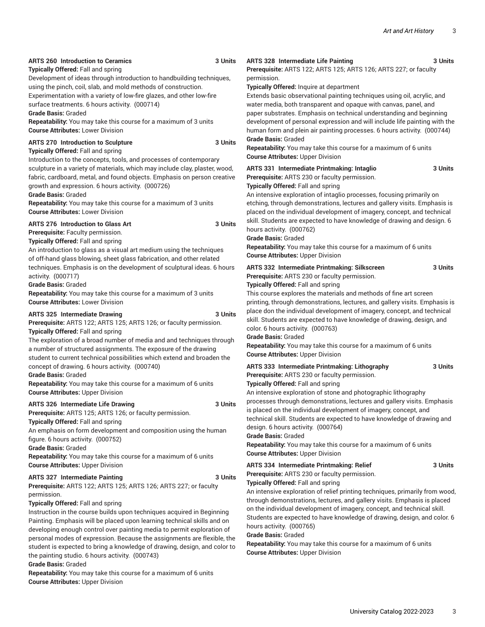### **ARTS 260 Introduction to Ceramics 3 Units**

**Typically Offered:** Fall and spring

Development of ideas through introduction to handbuilding techniques, using the pinch, coil, slab, and mold methods of construction.

Experimentation with a variety of low-fire glazes, and other low-fire surface treatments. 6 hours activity. (000714)

**Grade Basis:** Graded

**Repeatability:** You may take this course for a maximum of 3 units **Course Attributes:** Lower Division

#### **ARTS 270 Introduction to Sculpture 3 Units Typically Offered:** Fall and spring

Introduction to the concepts, tools, and processes of contemporary sculpture in a variety of materials, which may include clay, plaster, wood, fabric, cardboard, metal, and found objects. Emphasis on person creative growth and expression. 6 hours activity. (000726)

#### **Grade Basis:** Graded

**Repeatability:** You may take this course for a maximum of 3 units **Course Attributes:** Lower Division

#### **ARTS 276 Introduction to Glass Art 3 Units**

#### **Prerequisite:** Faculty permission. **Typically Offered:** Fall and spring

An introduction to glass as a visual art medium using the techniques of off-hand glass blowing, sheet glass fabrication, and other related techniques. Emphasis is on the development of sculptural ideas. 6 hours activity. (000717)

#### **Grade Basis:** Graded

**Repeatability:** You may take this course for a maximum of 3 units **Course Attributes:** Lower Division

#### **ARTS 325 Intermediate Drawing 3 Units**

**Prerequisite:** ARTS 122; ARTS 125; ARTS 126; or faculty permission. **Typically Offered:** Fall and spring

The exploration of a broad number of media and and techniques through a number of structured assignments. The exposure of the drawing student to current technical possibilities which extend and broaden the concept of drawing. 6 hours activity. (000740)

#### **Grade Basis:** Graded

**Repeatability:** You may take this course for a maximum of 6 units **Course Attributes:** Upper Division

#### **ARTS 326 Intermediate Life Drawing 3 Units**

**Prerequisite:** ARTS 125; ARTS 126; or faculty permission.

**Typically Offered:** Fall and spring

An emphasis on form development and composition using the human figure. 6 hours activity. (000752)

**Grade Basis:** Graded

**Repeatability:** You may take this course for a maximum of 6 units **Course Attributes:** Upper Division

### **ARTS 327 Intermediate Painting 3 Units**

**Prerequisite:** ARTS 122; ARTS 125; ARTS 126; ARTS 227; or faculty permission.

### **Typically Offered:** Fall and spring

Instruction in the course builds upon techniques acquired in Beginning Painting. Emphasis will be placed upon learning technical skills and on developing enough control over painting media to permit exploration of personal modes of expression. Because the assignments are flexible, the student is expected to bring a knowledge of drawing, design, and color to the painting studio. 6 hours activity. (000743)

**Grade Basis:** Graded

**Repeatability:** You may take this course for a maximum of 6 units **Course Attributes:** Upper Division

## **ARTS 328 Intermediate Life Painting 3 Units**

**Prerequisite:** ARTS 122; ARTS 125; ARTS 126; ARTS 227; or faculty permission.

**Typically Offered:** Inquire at department

Extends basic observational painting techniques using oil, acrylic, and water media, both transparent and opaque with canvas, panel, and paper substrates. Emphasis on technical understanding and beginning development of personal expression and will include life painting with the human form and plein air painting processes. 6 hours activity. (000744) **Grade Basis:** Graded

**Repeatability:** You may take this course for a maximum of 6 units **Course Attributes:** Upper Division

#### **ARTS 331 Intermediate Printmaking: Intaglio 3 Units Prerequisite:** ARTS 230 or faculty permission.

**Typically Offered:** Fall and spring

An intensive exploration of intaglio processes, focusing primarily on etching, through demonstrations, lectures and gallery visits. Emphasis is placed on the individual development of imagery, concept, and technical skill. Students are expected to have knowledge of drawing and design. 6 hours activity. (000762)

**Grade Basis:** Graded

**Repeatability:** You may take this course for a maximum of 6 units **Course Attributes:** Upper Division

|  | ARTS 332 Intermediate Printmaking: Silkscreen | 3 Units |
|--|-----------------------------------------------|---------|
|--|-----------------------------------------------|---------|

#### **Typically Offered:** Fall and spring

**Prerequisite:** ARTS 230 or faculty permission.

This course explores the materials and methods of fine art screen printing, through demonstrations, lectures, and gallery visits. Emphasis is place don the individual development of imagery, concept, and technical skill. Students are expected to have knowledge of drawing, design, and color. 6 hours activity. (000763)

#### **Grade Basis:** Graded

**Repeatability:** You may take this course for a maximum of 6 units **Course Attributes:** Upper Division

#### **ARTS 333 Intermediate Printmaking: Lithography 3 Units**

**Prerequisite:** ARTS 230 or faculty permission. **Typically Offered:** Fall and spring

An intensive exploration of stone and photographic lithography processes through demonstrations, lectures and gallery visits. Emphasis is placed on the individual development of imagery, concept, and technical skill. Students are expected to have knowledge of drawing and design. 6 hours activity. (000764)

#### **Grade Basis:** Graded

**Repeatability:** You may take this course for a maximum of 6 units **Course Attributes:** Upper Division

## **ARTS 334 Intermediate Printmaking: Relief 3 Units**

#### **Prerequisite:** ARTS 230 or faculty permission.

**Typically Offered:** Fall and spring

An intensive exploration of relief printing techniques, primarily from wood, through demonstrations, lectures, and gallery visits. Emphasis is placed on the individual development of imagery, concept, and technical skill. Students are expected to have knowledge of drawing, design, and color. 6 hours activity. (000765)

#### **Grade Basis:** Graded

**Repeatability:** You may take this course for a maximum of 6 units **Course Attributes:** Upper Division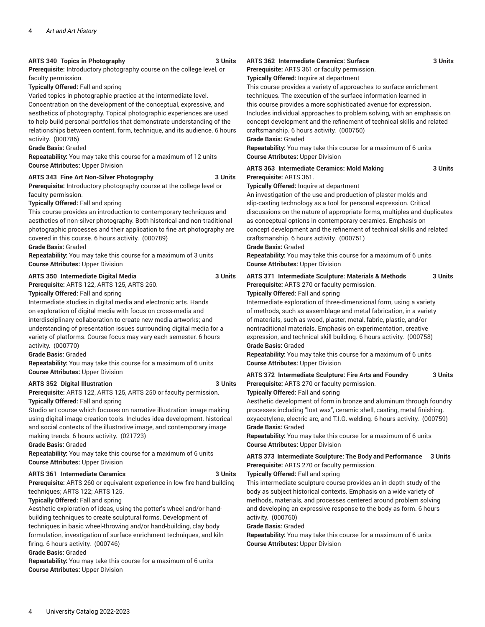#### **ARTS 340 Topics in Photography 3 Units**

**Prerequisite:** Introductory photography course on the college level, or faculty permission.

**Typically Offered:** Fall and spring

Varied topics in photographic practice at the intermediate level. Concentration on the development of the conceptual, expressive, and aesthetics of photography. Topical photographic experiences are used to help build personal portfolios that demonstrate understanding of the relationships between content, form, technique, and its audience. 6 hours activity. (000786)

#### **Grade Basis:** Graded

**Repeatability:** You may take this course for a maximum of 12 units **Course Attributes:** Upper Division

#### **ARTS 343 Fine Art Non-Silver Photography 3 Units**

**Prerequisite:** Introductory photography course at the college level or faculty permission.

**Typically Offered:** Fall and spring

This course provides an introduction to contemporary techniques and aesthetics of non-silver photography. Both historical and non-traditional photographic processes and their application to fine art photography are covered in this course. 6 hours activity. (000789)

**Grade Basis:** Graded

**Repeatability:** You may take this course for a maximum of 3 units **Course Attributes:** Upper Division

#### **ARTS 350 Intermediate Digital Media 3 Units**

**Prerequisite:** ARTS 122, ARTS 125, ARTS 250.

**Typically Offered:** Fall and spring

Intermediate studies in digital media and electronic arts. Hands on exploration of digital media with focus on cross-media and interdisciplinary collaboration to create new media artworks; and understanding of presentation issues surrounding digital media for a variety of platforms. Course focus may vary each semester. 6 hours activity. (000770)

**Grade Basis:** Graded

**Repeatability:** You may take this course for a maximum of 6 units **Course Attributes:** Upper Division

#### **ARTS 352 Digital Illustration 3 Units**

**Prerequisite:** ARTS 122, ARTS 125, ARTS 250 or faculty permission. **Typically Offered:** Fall and spring

Studio art course which focuses on narrative illustration image making using digital image creation tools. Includes idea development, historical and social contexts of the illustrative image, and contemporary image making trends. 6 hours activity. (021723)

**Grade Basis:** Graded

**Repeatability:** You may take this course for a maximum of 6 units **Course Attributes:** Upper Division

#### **ARTS 361 Intermediate Ceramics 3 Units**

**Prerequisite:** ARTS 260 or equivalent experience in low-fire hand-building techniques; ARTS 122; ARTS 125.

**Typically Offered:** Fall and spring

Aesthetic exploration of ideas, using the potter's wheel and/or handbuilding techniques to create sculptural forms. Development of techniques in basic wheel-throwing and/or hand-building, clay body formulation, investigation of surface enrichment techniques, and kiln firing. 6 hours activity. (000746)

**Grade Basis:** Graded

**Repeatability:** You may take this course for a maximum of 6 units **Course Attributes:** Upper Division

### **ARTS 362 Intermediate Ceramics: Surface 3 Units**

**Prerequisite:** ARTS 361 or faculty permission.

**Typically Offered:** Inquire at department

This course provides a variety of approaches to surface enrichment techniques. The execution of the surface information learned in this course provides a more sophisticated avenue for expression. Includes individual approaches to problem solving, with an emphasis on concept development and the refinement of technical skills and related craftsmanship. 6 hours activity. (000750)

#### **Grade Basis:** Graded

**Repeatability:** You may take this course for a maximum of 6 units **Course Attributes:** Upper Division

| ARTS 363 Intermediate Ceramics: Mold Making | 3 Units |
|---------------------------------------------|---------|
| Prerequisite: ARTS 361.                     |         |

**Typically Offered:** Inquire at department

An investigation of the use and production of plaster molds and slip-casting technology as a tool for personal expression. Critical discussions on the nature of appropriate forms, multiples and duplicates as conceptual options in contemporary ceramics. Emphasis on concept development and the refinement of technical skills and related craftsmanship. 6 hours activity. (000751)

**Grade Basis:** Graded

**Repeatability:** You may take this course for a maximum of 6 units **Course Attributes:** Upper Division

**ARTS 371 Intermediate Sculpture: Materials & Methods 3 Units Prerequisite:** ARTS 270 or faculty permission.

**Typically Offered:** Fall and spring

Intermediate exploration of three-dimensional form, using a variety of methods, such as assemblage and metal fabrication, in a variety of materials, such as wood, plaster, metal, fabric, plastic, and/or nontraditional materials. Emphasis on experimentation, creative expression, and technical skill building. 6 hours activity. (000758) **Grade Basis:** Graded

**Repeatability:** You may take this course for a maximum of 6 units **Course Attributes:** Upper Division

**ARTS 372 Intermediate Sculpture: Fire Arts and Foundry 3 Units Prerequisite:** ARTS 270 or faculty permission.

**Typically Offered:** Fall and spring

Aesthetic development of form in bronze and aluminum through foundry processes including "lost wax", ceramic shell, casting, metal finishing, oxyacetylene, electric arc, and T.I.G. welding. 6 hours activity. (000759) **Grade Basis:** Graded

**Repeatability:** You may take this course for a maximum of 6 units **Course Attributes:** Upper Division

**ARTS 373 Intermediate Sculpture: The Body and Performance 3 Units Prerequisite:** ARTS 270 or faculty permission.

**Typically Offered:** Fall and spring

This intermediate sculpture course provides an in-depth study of the body as subject historical contexts. Emphasis on a wide variety of methods, materials, and processes centered around problem solving and developing an expressive response to the body as form. 6 hours activity. (000760)

**Grade Basis:** Graded

**Repeatability:** You may take this course for a maximum of 6 units **Course Attributes:** Upper Division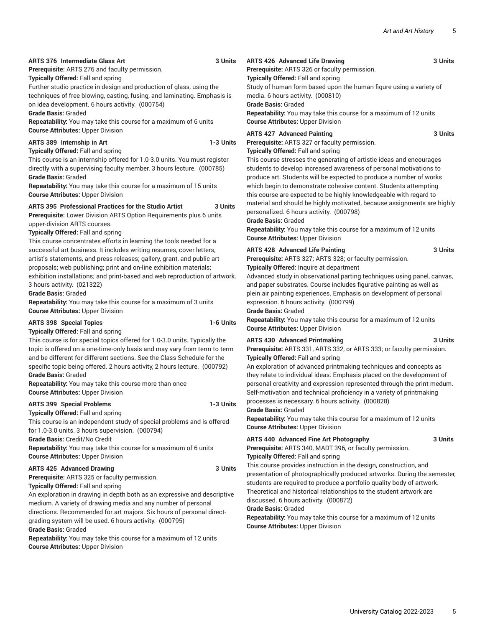### **ARTS 376 Intermediate Glass Art 3 Units**

**Prerequisite:** ARTS 276 and faculty permission.

**Typically Offered:** Fall and spring

Further studio practice in design and production of glass, using the techniques of free blowing, casting, fusing, and laminating. Emphasis is on idea development. 6 hours activity. (000754)

**Grade Basis:** Graded

**Repeatability:** You may take this course for a maximum of 6 units **Course Attributes:** Upper Division

### **ARTS 389 Internship in Art 1-3 Units**

**Typically Offered:** Fall and spring

This course is an internship offered for 1.0-3.0 units. You must register directly with a supervising faculty member. 3 hours lecture. (000785) **Grade Basis:** Graded

**Repeatability:** You may take this course for a maximum of 15 units **Course Attributes:** Upper Division

**ARTS 395 Professional Practices for the Studio Artist 3 Units Prerequisite:** Lower Division ARTS Option Requirements plus 6 units upper-division ARTS courses.

**Typically Offered:** Fall and spring

This course concentrates efforts in learning the tools needed for a successful art business. It includes writing resumes, cover letters, artist's statements, and press releases; gallery, grant, and public art proposals; web publishing; print and on-line exhibition materials; exhibition installations; and print-based and web reproduction of artwork. 3 hours activity. (021322)

**Grade Basis:** Graded

**Repeatability:** You may take this course for a maximum of 3 units **Course Attributes:** Upper Division

#### **ARTS 398 Special Topics 1-6 Units**

**Typically Offered:** Fall and spring

This course is for special topics offered for 1.0-3.0 units. Typically the topic is offered on a one-time-only basis and may vary from term to term and be different for different sections. See the Class Schedule for the specific topic being offered. 2 hours activity, 2 hours lecture. (000792) **Grade Basis:** Graded

**Repeatability:** You may take this course more than once **Course Attributes:** Upper Division

#### **ARTS 399 Special Problems 1-3 Units**

**Typically Offered:** Fall and spring

This course is an independent study of special problems and is offered for 1.0-3.0 units. 3 hours supervision. (000794)

**Grade Basis:** Credit/No Credit

**Repeatability:** You may take this course for a maximum of 6 units **Course Attributes:** Upper Division

#### **ARTS 425 Advanced Drawing 3 Units**

**Prerequisite:** ARTS 325 or faculty permission.

**Typically Offered:** Fall and spring An exploration in drawing in depth both as an expressive and descriptive medium. A variety of drawing media and any number of personal directions. Recommended for art majors. Six hours of personal directgrading system will be used. 6 hours activity. (000795) **Grade Basis:** Graded

**Repeatability:** You may take this course for a maximum of 12 units **Course Attributes:** Upper Division

#### **ARTS 426 Advanced Life Drawing 3 Units Prerequisite:** ARTS 326 or faculty permission. **Typically Offered:** Fall and spring

Study of human form based upon the human figure using a variety of media. 6 hours activity. (000810) **Grade Basis:** Graded

**Repeatability:** You may take this course for a maximum of 12 units **Course Attributes:** Upper Division

#### **ARTS 427 Advanced Painting 3 Units**

**Prerequisite:** ARTS 327 or faculty permission. **Typically Offered:** Fall and spring

This course stresses the generating of artistic ideas and encourages students to develop increased awareness of personal motivations to produce art. Students will be expected to produce a number of works which begin to demonstrate cohesive content. Students attempting this course are expected to be highly knowledgeable with regard to material and should be highly motivated, because assignments are highly personalized. 6 hours activity. (000798)

**Grade Basis:** Graded

**Repeatability:** You may take this course for a maximum of 12 units **Course Attributes:** Upper Division

#### **ARTS 428 Advanced Life Painting 3 Units**

**Prerequisite:** ARTS 327; ARTS 328; or faculty permission. **Typically Offered:** Inquire at department

Advanced study in observational parting techniques using panel, canvas, and paper substrates. Course includes figurative painting as well as plein air painting experiences. Emphasis on development of personal expression. 6 hours activity. (000799)

**Grade Basis:** Graded

**Repeatability:** You may take this course for a maximum of 12 units **Course Attributes:** Upper Division

#### **ARTS 430 Advanced Printmaking 3 Units**

**Prerequisite:** ARTS 331, ARTS 332, or ARTS 333; or faculty permission. **Typically Offered:** Fall and spring

An exploration of advanced printmaking techniques and concepts as they relate to individual ideas. Emphasis placed on the development of personal creativity and expression represented through the print medum. Self-motivation and technical proficiency in a variety of printmaking processes is necessary. 6 hours activity. (000828)

**Grade Basis:** Graded

**Repeatability:** You may take this course for a maximum of 12 units **Course Attributes:** Upper Division

#### **ARTS 440 Advanced Fine Art Photography 3 Units**

**Prerequisite:** ARTS 340, MADT 396, or faculty permission.

**Typically Offered:** Fall and spring

This course provides instruction in the design, construction, and presentation of photographically produced artworks. During the semester, students are required to produce a portfolio quality body of artwork. Theoretical and historical relationships to the student artwork are discussed. 6 hours activity. (000872)

# **Grade Basis:** Graded

**Repeatability:** You may take this course for a maximum of 12 units **Course Attributes:** Upper Division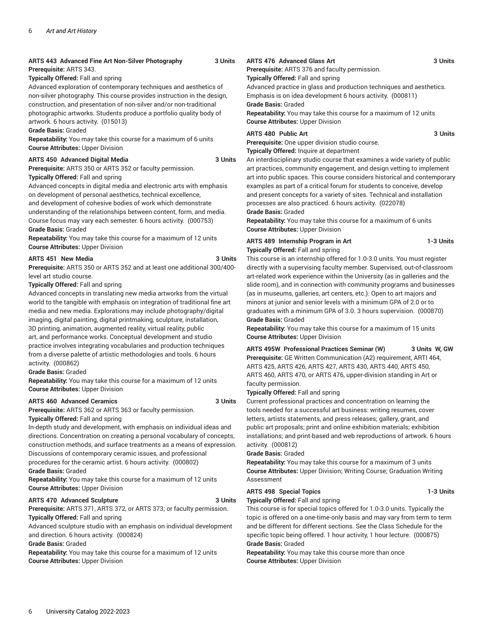#### **ARTS 443 Advanced Fine Art Non-Silver Photography 3 Units Prerequisite:** ARTS 343.

**Typically Offered:** Fall and spring

Advanced exploration of contemporary techniques and aesthetics of non-silver photography. This course provides instruction in the design, construction, and presentation of non-silver and/or non-traditional photographic artworks. Students produce a portfolio quality body of artwork. 6 hours activity. (015013)

#### **Grade Basis:** Graded

**Repeatability:** You may take this course for a maximum of 6 units **Course Attributes:** Upper Division

#### **ARTS 450 Advanced Digital Media 3 Units**

**Prerequisite:** ARTS 350 or ARTS 352 or faculty permission. **Typically Offered:** Fall and spring

Advanced concepts in digital media and electronic arts with emphasis on development of personal aesthetics, technical excellence, and development of cohesive bodies of work which demonstrate understanding of the relationships between content, form, and media. Course focus may vary each semester. 6 hours activity. (000753) **Grade Basis:** Graded

**Repeatability:** You may take this course for a maximum of 12 units **Course Attributes:** Upper Division

#### **ARTS 451 New Media 3 Units**

**Prerequisite:** ARTS 350 or ARTS 352 and at least one additional 300/400 level art studio course.

**Typically Offered:** Fall and spring

Advanced concepts in translating new media artworks from the virtual world to the tangible with emphasis on integration of traditional fine art media and new media. Explorations may include photography/digital imaging, digital painting, digital printmaking, sculpture, installation, 3D printing, animation, augmented reality, virtual reality, public art, and performance works. Conceptual development and studio practice involves integrating vocabularies and production techniques from a diverse palette of artistic methodologies and tools. 6 hours activity. (000862)

**Grade Basis:** Graded

**Repeatability:** You may take this course for a maximum of 12 units **Course Attributes:** Upper Division

#### **ARTS 460 Advanced Ceramics 3 Units**

**Prerequisite:** ARTS 362 or ARTS 363 or faculty permission.

**Typically Offered:** Fall and spring

In-depth study and development, with emphasis on individual ideas and directions. Concentration on creating a personal vocabulary of concepts, construction methods, and surface treatments as a means of expression. Discussions of contemporary ceramic issues, and professional procedures for the ceramic artist. 6 hours activity. (000802)

#### **Grade Basis:** Graded

**Repeatability:** You may take this course for a maximum of 12 units **Course Attributes:** Upper Division

#### **ARTS 470 Advanced Sculpture 3 Units**

**Prerequisite:** ARTS 371, ARTS 372, or ARTS 373; or faculty permission. **Typically Offered:** Fall and spring

Advanced sculpture studio with an emphasis on individual development and direction. 6 hours activity. (000824)

**Grade Basis:** Graded

**Repeatability:** You may take this course for a maximum of 12 units **Course Attributes:** Upper Division

#### **ARTS 476 Advanced Glass Art 3 Units**

**Prerequisite:** ARTS 376 and faculty permission.

**Typically Offered:** Fall and spring

Advanced practice in glass and production techniques and aesthetics. Emphasis is on idea development 6 hours activity. (000811) **Grade Basis:** Graded

**Repeatability:** You may take this course for a maximum of 12 units **Course Attributes:** Upper Division

#### **ARTS 480 Public Art 3 Units**

**Prerequisite:** One upper division studio course. **Typically Offered:** Inquire at department

An interdisciplinary studio course that examines a wide variety of public art practices, community engagement, and design vetting to implement art into public spaces. This course considers historical and contemporary examples as part of a critical forum for students to conceive, develop and present concepts for a variety of sites. Technical and installation processes are also practiced. 6 hours activity. (022078) **Grade Basis:** Graded

**Repeatability:** You may take this course for a maximum of 6 units **Course Attributes:** Upper Division

#### **ARTS 489 Internship Program in Art 1-3 Units Typically Offered:** Fall and spring

This course is an internship offered for 1.0-3.0 units. You must register directly with a supervising faculty member. Supervised, out-of-classroom art-related work experience within the University (as in galleries and the slide room), and in connection with community programs and businesses (as in museums, galleries, art centers, etc.). Open to art majors and minors at junior and senior levels with a minimum GPA of 2.0 or to graduates with a minimum GPA of 3.0. 3 hours supervision. (000870) **Grade Basis:** Graded

**Repeatability:** You may take this course for a maximum of 15 units **Course Attributes:** Upper Division

**ARTS 495W Professional Practices Seminar (W) 3 Units W, GW Prerequisite:** GE Written Communication (A2) requirement, ARTI 464, ARTS 425, ARTS 426, ARTS 427, ARTS 430, ARTS 440, ARTS 450, ARTS 460, ARTS 470, or ARTS 476, upper-division standing in Art or faculty permission.

**Typically Offered:** Fall and spring

Current professional practices and concentration on learning the tools needed for a successful art business: writing resumes, cover letters, artists statements, and press releases; gallery, grant, and public art proposals; print and online exhibition materials; exhibition installations; and print-based and web reproductions of artwork. 6 hours activity. (000812)

**Grade Basis:** Graded

**Repeatability:** You may take this course for a maximum of 3 units **Course Attributes:** Upper Division; Writing Course; Graduation Writing Assessment

## **ARTS 498 Special Topics 1-3 Units**

**Typically Offered:** Fall and spring

This course is for special topics offered for 1.0-3.0 units. Typically the topic is offered on a one-time-only basis and may vary from term to term and be different for different sections. See the Class Schedule for the specific topic being offered. 1 hour activity, 1 hour lecture. (000875) **Grade Basis:** Graded

**Repeatability:** You may take this course more than once **Course Attributes:** Upper Division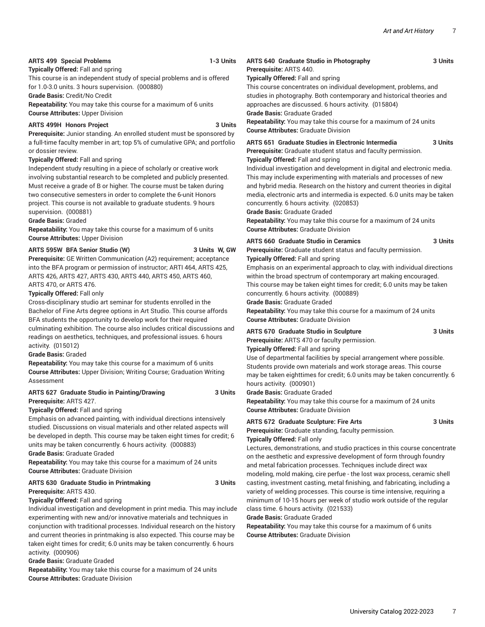### **ARTS 499 Special Problems 1-3 Units**

**Typically Offered:** Fall and spring

This course is an independent study of special problems and is offered for 1.0-3.0 units. 3 hours supervision. (000880)

**Grade Basis:** Credit/No Credit

**Repeatability:** You may take this course for a maximum of 6 units **Course Attributes:** Upper Division

### **ARTS 499H Honors Project 3 Units**

**Prerequisite:** Junior standing. An enrolled student must be sponsored by a full-time faculty member in art; top 5% of cumulative GPA; and portfolio or dossier review.

#### **Typically Offered:** Fall and spring

Independent study resulting in a piece of scholarly or creative work involving substantial research to be completed and publicly presented. Must receive a grade of B or higher. The course must be taken during two consecutive semesters in order to complete the 6-unit Honors project. This course is not available to graduate students. 9 hours supervision. (000881)

#### **Grade Basis:** Graded

**Repeatability:** You may take this course for a maximum of 6 units **Course Attributes:** Upper Division

#### **ARTS 595W BFA Senior Studio (W) 3 Units W, GW**

**Prerequisite:** GE Written Communication (A2) requirement; acceptance into the BFA program or permission of instructor; ARTI 464, ARTS 425, ARTS 426, ARTS 427, ARTS 430, ARTS 440, ARTS 450, ARTS 460, ARTS 470, or ARTS 476.

#### **Typically Offered:** Fall only

Cross-disciplinary studio art seminar for students enrolled in the Bachelor of Fine Arts degree options in Art Studio. This course affords BFA students the opportunity to develop work for their required culminating exhibition. The course also includes critical discussions and readings on aesthetics, techniques, and professional issues. 6 hours activity. (015012)

#### **Grade Basis:** Graded

**Repeatability:** You may take this course for a maximum of 6 units **Course Attributes:** Upper Division; Writing Course; Graduation Writing Assessment

# **ARTS 627 Graduate Studio in Painting/Drawing 3 Units**

## **Prerequisite:** ARTS 427.

**Typically Offered:** Fall and spring

Emphasis on advanced painting, with individual directions intensively studied. Discussions on visual materials and other related aspects will be developed in depth. This course may be taken eight times for credit; 6 units may be taken concurrently. 6 hours activity. (000883)

**Grade Basis:** Graduate Graded

**Repeatability:** You may take this course for a maximum of 24 units **Course Attributes:** Graduate Division

#### **ARTS 630 Graduate Studio in Printmaking 3 Units Prerequisite:** ARTS 430.

#### **Typically Offered:** Fall and spring

Individual investigation and development in print media. This may include experimenting with new and/or innovative materials and techniques in conjunction with traditional processes. Individual research on the history and current theories in printmaking is also expected. This course may be taken eight times for credit; 6.0 units may be taken concurrently. 6 hours activity. (000906)

**Grade Basis:** Graduate Graded

**Repeatability:** You may take this course for a maximum of 24 units **Course Attributes:** Graduate Division

#### **ARTS 640 Graduate Studio in Photography 3 Units Prerequisite:** ARTS 440.

**Typically Offered:** Fall and spring

This course concentrates on individual development, problems, and studies in photography. Both contemporary and historical theories and approaches are discussed. 6 hours activity. (015804) **Grade Basis:** Graduate Graded

**Repeatability:** You may take this course for a maximum of 24 units **Course Attributes:** Graduate Division

**ARTS 651 Graduate Studies in Electronic Intermedia 3 Units Prerequisite:** Graduate student status and faculty permission.

#### **Typically Offered:** Fall and spring

Individual investigation and development in digital and electronic media. This may include experimenting with materials and processes of new and hybrid media. Research on the history and current theories in digital media, electronic arts and intermedia is expected. 6.0 units may be taken concurrently. 6 hours activity. (020853)

**Grade Basis:** Graduate Graded

**Repeatability:** You may take this course for a maximum of 24 units **Course Attributes:** Graduate Division

#### **ARTS 660 Graduate Studio in Ceramics 3 Units**

**Prerequisite:** Graduate student status and faculty permission.

**Typically Offered:** Fall and spring

Emphasis on an experimental approach to clay, with individual directions within the broad spectrum of contemporary art making encouraged. This course may be taken eight times for credit; 6.0 units may be taken concurrently. 6 hours activity. (000889)

**Grade Basis:** Graduate Graded

**Repeatability:** You may take this course for a maximum of 24 units **Course Attributes:** Graduate Division

## **ARTS 670 Graduate Studio in Sculpture 3 Units**

**Prerequisite:** ARTS 470 or faculty permission.

**Typically Offered:** Fall and spring

Use of departmental facilities by special arrangement where possible. Students provide own materials and work storage areas. This course may be taken eighttimes for credit; 6.0 units may be taken concurrently. 6 hours activity. (000901)

**Grade Basis:** Graduate Graded

**Repeatability:** You may take this course for a maximum of 24 units **Course Attributes:** Graduate Division

#### **ARTS 672 Graduate Sculpture: Fire Arts 3 Units**

**Prerequisite:** Graduate standing, faculty permission. **Typically Offered:** Fall only

Lectures, demonstrations, and studio practices in this course concentrate on the aesthetic and expressive development of form through foundry and metal fabrication processes. Techniques include direct wax modeling, mold making, cire perfue - the lost wax process, ceramic shell casting, investment casting, metal finishing, and fabricating, including a variety of welding processes. This course is time intensive, requiring a minimum of 10-15 hours per week of studio work outside of the regular class time. 6 hours activity. (021533)

**Grade Basis:** Graduate Graded

**Repeatability:** You may take this course for a maximum of 6 units **Course Attributes:** Graduate Division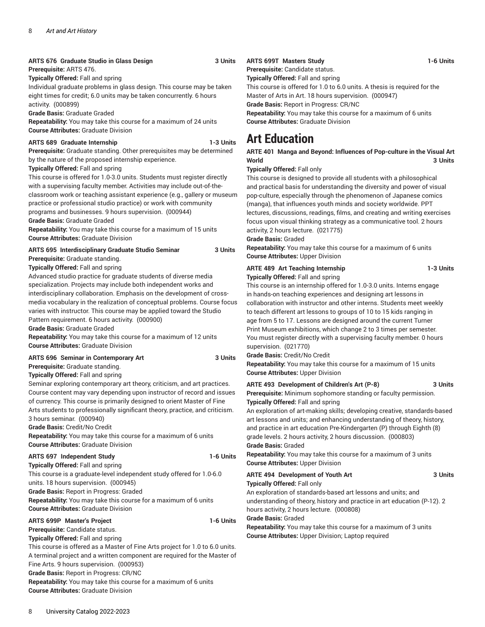### **ARTS 676 Graduate Studio in Glass Design 3 Units**

**Prerequisite:** ARTS 476.

**Typically Offered:** Fall and spring

Individual graduate problems in glass design. This course may be taken eight times for credit; 6.0 units may be taken concurrently. 6 hours activity. (000899)

**Grade Basis:** Graduate Graded

**Repeatability:** You may take this course for a maximum of 24 units **Course Attributes:** Graduate Division

#### **ARTS 689 Graduate Internship 1-3 Units**

**Prerequisite:** Graduate standing. Other prerequisites may be determined by the nature of the proposed internship experience.

#### **Typically Offered:** Fall and spring

This course is offered for 1.0-3.0 units. Students must register directly with a supervising faculty member. Activities may include out-of-theclassroom work or teaching assistant experience (e.g., gallery or museum practice or professional studio practice) or work with community programs and businesses. 9 hours supervision. (000944) **Grade Basis:** Graduate Graded

**Repeatability:** You may take this course for a maximum of 15 units **Course Attributes:** Graduate Division

# **ARTS 695 Interdisciplinary Graduate Studio Seminar 3 Units**

**Prerequisite:** Graduate standing.

**Typically Offered:** Fall and spring

Advanced studio practice for graduate students of diverse media specialization. Projects may include both independent works and interdisciplinary collaboration. Emphasis on the development of crossmedia vocabulary in the realization of conceptual problems. Course focus varies with instructor. This course may be applied toward the Studio Pattern requirement. 6 hours activity. (000900)

**Grade Basis:** Graduate Graded

**Repeatability:** You may take this course for a maximum of 12 units **Course Attributes:** Graduate Division

#### **ARTS 696 Seminar in Contemporary Art 3 Units**

**Prerequisite:** Graduate standing.

**Typically Offered:** Fall and spring

Seminar exploring contemporary art theory, criticism, and art practices. Course content may vary depending upon instructor of record and issues of currency. This course is primarily designed to orient Master of Fine Arts students to professionally significant theory, practice, and criticism. 3 hours seminar. (000940)

**Grade Basis:** Credit/No Credit

**Repeatability:** You may take this course for a maximum of 6 units **Course Attributes:** Graduate Division

### **ARTS 697 Independent Study 1-6 Units**

**Typically Offered:** Fall and spring This course is a graduate-level independent study offered for 1.0-6.0 units. 18 hours supervision. (000945)

**Grade Basis:** Report in Progress: Graded

**Repeatability:** You may take this course for a maximum of 6 units **Course Attributes:** Graduate Division

**Prerequisite:** Candidate status.

8 University Catalog 2022-2023

This course is offered as a Master of Fine Arts project for 1.0 to 6.0 units. A terminal project and a written component are required for the Master of Fine Arts. 9 hours supervision. (000953) **Grade Basis:** Report in Progress: CR/NC **Repeatability:** You may take this course for a maximum of 6 units **Course Attributes:** Graduate Division

#### **Typically Offered:** Fall and spring

**ARTS 699P Master's Project 1-6 Units** 

**Repeatability:** You may take this course for a maximum of 3 units **Course Attributes:** Upper Division; Laptop required

### **ARTS 699T Masters Study 1-6 Units**

**Prerequisite:** Candidate status.

**Typically Offered:** Fall and spring

This course is offered for 1.0 to 6.0 units. A thesis is required for the Master of Arts in Art. 18 hours supervision. (000947)

**Grade Basis:** Report in Progress: CR/NC

**Repeatability:** You may take this course for a maximum of 6 units **Course Attributes:** Graduate Division

# **Art Education**

#### **ARTE 401 Manga and Beyond: Influences of Pop-culture in the Visual Art World 3 Units**

**Typically Offered:** Fall only

This course is designed to provide all students with a philosophical and practical basis for understanding the diversity and power of visual pop-culture, especially through the phenomenon of Japanese comics (manga), that influences youth minds and society worldwide. PPT lectures, discussions, readings, films, and creating and writing exercises focus upon visual thinking strategy as a communicative tool. 2 hours activity, 2 hours lecture. (021775)

**Grade Basis:** Graded

**Repeatability:** You may take this course for a maximum of 6 units **Course Attributes:** Upper Division

#### **ARTE 489 Art Teaching Internship 1-3 Units Typically Offered:** Fall and spring

This course is an internship offered for 1.0-3.0 units. Interns engage in hands-on teaching experiences and designing art lessons in collaboration with instructor and other interns. Students meet weekly to teach different art lessons to groups of 10 to 15 kids ranging in age from 5 to 17. Lessons are designed around the current Turner Print Museum exhibitions, which change 2 to 3 times per semester. You must register directly with a supervising faculty member. 0 hours supervision. (021770)

**Grade Basis:** Credit/No Credit

**Repeatability:** You may take this course for a maximum of 15 units **Course Attributes:** Upper Division

**ARTE 493 Development of Children's Art (P-8) 3 Units Prerequisite:** Minimum sophomore standing or faculty permission. **Typically Offered:** Fall and spring

An exploration of art-making skills; developing creative, standards-based art lessons and units; and enhancing understanding of theory, history, and practice in art education Pre-Kindergarten (P) through Eighth (8) grade levels. 2 hours activity, 2 hours discussion. (000803) **Grade Basis:** Graded

**Repeatability:** You may take this course for a maximum of 3 units **Course Attributes:** Upper Division

#### **ARTE 494 Development of Youth Art 3 Units Typically Offered:** Fall only

An exploration of standards-based art lessons and units; and understanding of theory, history and practice in art education (P-12). 2

hours activity, 2 hours lecture. (000808)

**Grade Basis:** Graded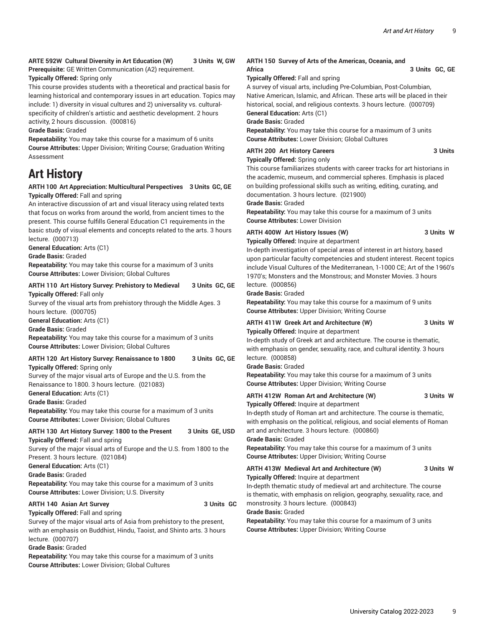#### **ARTE 592W Cultural Diversity in Art Education (W) 3 Units W, GW**

**Prerequisite:** GE Written Communication (A2) requirement.

**Typically Offered:** Spring only

This course provides students with a theoretical and practical basis for learning historical and contemporary issues in art education. Topics may include: 1) diversity in visual cultures and 2) universality vs. culturalspecificity of children's artistic and aesthetic development. 2 hours activity, 2 hours discussion. (000816)

**Grade Basis:** Graded

**Repeatability:** You may take this course for a maximum of 6 units **Course Attributes:** Upper Division; Writing Course; Graduation Writing Assessment

# **Art History**

#### **ARTH 100 Art Appreciation: Multicultural Perspectives 3 Units GC, GE Typically Offered:** Fall and spring

An interactive discussion of art and visual literacy using related texts that focus on works from around the world, from ancient times to the present. This course fulfills General Education C1 requirements in the basic study of visual elements and concepts related to the arts. 3 hours lecture. (000713)

**General Education:** Arts (C1)

**Grade Basis:** Graded

**Repeatability:** You may take this course for a maximum of 3 units **Course Attributes:** Lower Division; Global Cultures

#### **ARTH 110 Art History Survey: Prehistory to Medieval 3 Units GC, GE Typically Offered:** Fall only

Survey of the visual arts from prehistory through the Middle Ages. 3 hours lecture. (000705)

**General Education:** Arts (C1)

**Grade Basis:** Graded

**Repeatability:** You may take this course for a maximum of 3 units **Course Attributes:** Lower Division; Global Cultures

## **ARTH 120 Art History Survey: Renaissance to 1800 3 Units GC, GE**

**Typically Offered:** Spring only

Survey of the major visual arts of Europe and the U.S. from the Renaissance to 1800. 3 hours lecture. (021083)

**General Education:** Arts (C1)

**Grade Basis:** Graded

**Repeatability:** You may take this course for a maximum of 3 units **Course Attributes:** Lower Division; Global Cultures

## **ARTH 130 Art History Survey: 1800 to the Present 3 Units GE, USD**

**Typically Offered:** Fall and spring

Survey of the major visual arts of Europe and the U.S. from 1800 to the Present. 3 hours lecture. (021084)

**General Education:** Arts (C1)

**Grade Basis:** Graded

**Repeatability:** You may take this course for a maximum of 3 units **Course Attributes:** Lower Division; U.S. Diversity

#### **ARTH 140 Asian Art Survey 3 Units GC**

**Typically Offered:** Fall and spring Survey of the major visual arts of Asia from prehistory to the present, with an emphasis on Buddhist, Hindu, Taoist, and Shinto arts. 3 hours lecture. (000707)

**Grade Basis:** Graded

**Repeatability:** You may take this course for a maximum of 3 units **Course Attributes:** Lower Division; Global Cultures

#### **ARTH 150 Survey of Arts of the Americas, Oceania, and** Africa 3 Units GC, GE

**Typically Offered:** Fall and spring

A survey of visual arts, including Pre-Columbian, Post-Columbian, Native American, Islamic, and African. These arts will be placed in their historical, social, and religious contexts. 3 hours lecture. (000709) **General Education:** Arts (C1)

**Grade Basis:** Graded

**Repeatability:** You may take this course for a maximum of 3 units **Course Attributes:** Lower Division; Global Cultures

#### **ARTH 200 Art History Careers 3 Units**

**Typically Offered:** Spring only This course familiarizes students with career tracks for art historians in the academic, museum, and commercial spheres. Emphasis is placed on building professional skills such as writing, editing, curating, and documentation. 3 hours lecture. (021900)

**Grade Basis:** Graded

**Repeatability:** You may take this course for a maximum of 3 units **Course Attributes:** Lower Division

# **ARTH 400W Art History Issues (W) 3 Units W**

**Typically Offered:** Inquire at department

In-depth investigation of special areas of interest in art history, based upon particular faculty competencies and student interest. Recent topics include Visual Cultures of the Mediterranean, 1-1000 CE; Art of the 1960's 1970's; Monsters and the Monstrous; and Monster Movies. 3 hours lecture. (000856)

**Grade Basis:** Graded

**Repeatability:** You may take this course for a maximum of 9 units **Course Attributes:** Upper Division; Writing Course

# **ARTH 411W Greek Art and Architecture (W) 3 Units W**

**Typically Offered:** Inquire at department

In-depth study of Greek art and architecture. The course is thematic, with emphasis on gender, sexuality, race, and cultural identity. 3 hours lecture. (000858)

**Grade Basis:** Graded

**Repeatability:** You may take this course for a maximum of 3 units **Course Attributes:** Upper Division; Writing Course

#### **ARTH 412W Roman Art and Architecture (W) 3 Units W**

**Typically Offered:** Inquire at department In-depth study of Roman art and architecture. The course is thematic, with emphasis on the political, religious, and social elements of Roman art and architecture. 3 hours lecture. (000860)

**Grade Basis:** Graded

**Repeatability:** You may take this course for a maximum of 3 units **Course Attributes:** Upper Division; Writing Course

### **ARTH 413W Medieval Art and Architecture (W) 3 Units W**

**Typically Offered:** Inquire at department In-depth thematic study of medieval art and architecture. The course

is thematic, with emphasis on religion, geography, sexuality, race, and monstrosity. 3 hours lecture. (000843)

#### **Grade Basis:** Graded

**Repeatability:** You may take this course for a maximum of 3 units **Course Attributes:** Upper Division; Writing Course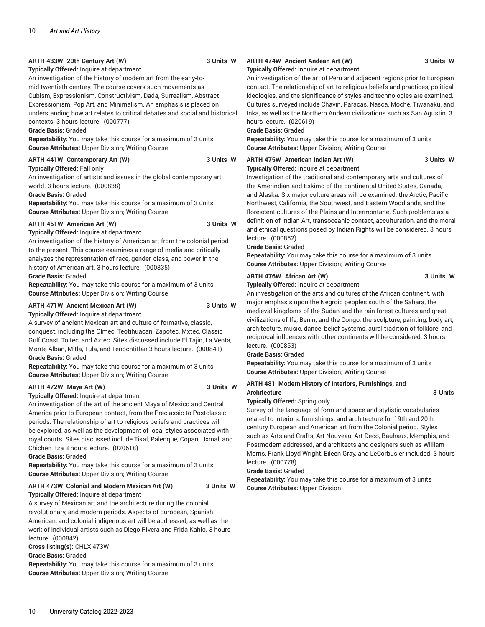#### **ARTH 433W 20th Century Art (W) 3 Units W**

#### **Typically Offered:** Inquire at department

An investigation of the history of modern art from the early-tomid twentieth century. The course covers such movements as Cubism, Expressionism, Constructivism, Dada, Surrealism, Abstract Expressionism, Pop Art, and Minimalism. An emphasis is placed on understanding how art relates to critical debates and social and historical contexts. 3 hours lecture. (000777)

#### **Grade Basis:** Graded

**Repeatability:** You may take this course for a maximum of 3 units **Course Attributes:** Upper Division; Writing Course

#### **ARTH 441W Contemporary Art (W) 3 Units W**

**Typically Offered:** Fall only An investigation of artists and issues in the global contemporary art

world. 3 hours lecture. (000838)

#### **Grade Basis:** Graded

**Repeatability:** You may take this course for a maximum of 3 units **Course Attributes:** Upper Division; Writing Course

#### **ARTH 451W American Art (W) 3 Units W**

#### **Typically Offered:** Inquire at department

An investigation of the history of American art from the colonial period to the present. This course examines a range of media and critically analyzes the representation of race, gender, class, and power in the history of American art. 3 hours lecture. (000835)

#### **Grade Basis:** Graded

**Repeatability:** You may take this course for a maximum of 3 units **Course Attributes:** Upper Division; Writing Course

#### **ARTH 471W Ancient Mexican Art (W) 3 Units W**

**Typically Offered:** Inquire at department

A survey of ancient Mexican art and culture of formative, classic, conquest, including the Olmec, Teotihuacan, Zapotec, Mxtec, Classic Gulf Coast, Toltec, and Aztec. Sites discussed include El Tajin, La Venta, Monte Alban, Mitla, Tula, and Tenochtitlan 3 hours lecture. (000841) **Grade Basis:** Graded

**Repeatability:** You may take this course for a maximum of 3 units **Course Attributes:** Upper Division; Writing Course

#### **ARTH 472W Maya Art (W) 3 Units W**

#### **Typically Offered:** Inquire at department

An investigation of the art of the ancient Maya of Mexico and Central America prior to European contact, from the Preclassic to Postclassic periods. The relationship of art to religious beliefs and practices will be explored, as well as the development of local styles associated with royal courts. Sites discussed include Tikal, Palenque, Copan, Uxmal, and Chichen Itza 3 hours lecture. (020618)

**Grade Basis:** Graded

**Repeatability:** You may take this course for a maximum of 3 units **Course Attributes:** Upper Division; Writing Course

#### **ARTH 473W Colonial and Modern Mexican Art (W) 3 Units W**

**Typically Offered:** Inquire at department

A survey of Mexican art and the architecture during the colonial, revolutionary, and modern periods. Aspects of European, Spanish-American, and colonial indigenous art will be addressed, as well as the work of individual artists such as Diego Rivera and Frida Kahlo. 3 hours lecture. (000842) **Cross listing(s):** CHLX 473W **Grade Basis:** Graded

**Repeatability:** You may take this course for a maximum of 3 units **Course Attributes:** Upper Division; Writing Course

#### **ARTH 474W Ancient Andean Art (W) 3 Units W**

#### **Typically Offered:** Inquire at department

An investigation of the art of Peru and adjacent regions prior to European contact. The relationship of art to religious beliefs and practices, political ideologies, and the significance of styles and technologies are examined. Cultures surveyed include Chavin, Paracas, Nasca, Moche, Tiwanaku, and Inka, as well as the Northern Andean civilizations such as San Agustin. 3 hours lecture. (020619)

#### **Grade Basis:** Graded

**Repeatability:** You may take this course for a maximum of 3 units **Course Attributes:** Upper Division; Writing Course

#### **ARTH 475W American Indian Art (W) 3 Units W**

#### **Typically Offered:** Inquire at department

Investigation of the traditional and contemporary arts and cultures of the Amerindian and Eskimo of the continental United States, Canada, and Alaska. Six major culture areas will be examined: the Arctic, Pacific Northwest, California, the Southwest, and Eastern Woodlands, and the florescent cultures of the Plains and Intermontane. Such problems as a definition of Indian Art, transoceanic contact, acculturation, and the moral and ethical questions posed by Indian Rights will be considered. 3 hours lecture. (000852)

#### **Grade Basis:** Graded

**Repeatability:** You may take this course for a maximum of 3 units **Course Attributes:** Upper Division; Writing Course

#### **ARTH 476W African Art (W) 3 Units W**

**Typically Offered:** Inquire at department

An investigation of the arts and cultures of the African continent, with major emphasis upon the Negroid peoples south of the Sahara, the medieval kingdoms of the Sudan and the rain forest cultures and great civilizations of Ife, Benin, and the Congo, the sculpture, painting, body art, architecture, music, dance, belief systems, aural tradition of folklore, and reciprocal influences with other continents will be considered. 3 hours lecture. (000853)

**Grade Basis:** Graded

**Repeatability:** You may take this course for a maximum of 3 units **Course Attributes:** Upper Division; Writing Course

#### **ARTH 481 Modern History of Interiors, Furnishings, and** Architecture 3 Units

**Typically Offered:** Spring only

Survey of the language of form and space and stylistic vocabularies related to interiors, furnishings, and architecture for 19th and 20th century European and American art from the Colonial period. Styles such as Arts and Crafts, Art Nouveau, Art Deco, Bauhaus, Memphis, and Postmodern addressed, and architects and designers such as William Morris, Frank Lloyd Wright, Eileen Gray, and LeCorbusier included. 3 hours lecture. (000778)

**Grade Basis:** Graded

**Repeatability:** You may take this course for a maximum of 3 units **Course Attributes:** Upper Division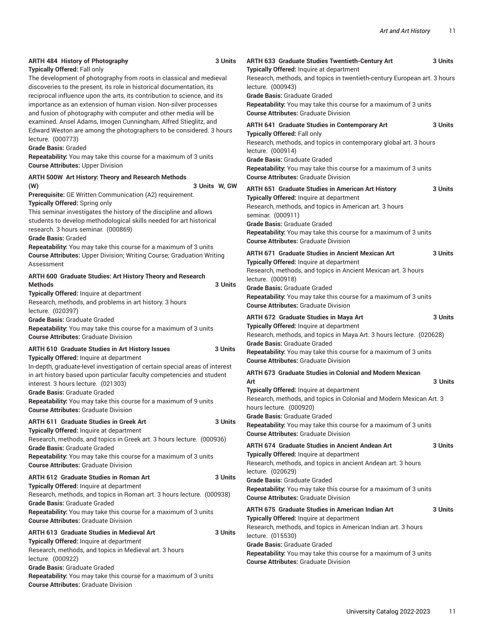| <b>ARTH 484 History of Photography</b><br>Typically Offered: Fall only<br>The development of photography from roots in classical and medieval<br>discoveries to the present, its role in historical documentation, its<br>reciprocal influence upon the arts, its contribution to science, and its<br>importance as an extension of human vision. Non-silver processes<br>and fusion of photography with computer and other media will be<br>examined. Ansel Adams, Imogen Cunningham, Alfred Stieglitz, and<br>Edward Weston are among the photographers to be considered. 3 hours<br>lecture. (000773)<br><b>Grade Basis: Graded</b><br>Repeatability: You may take this course for a maximum of 3 units<br><b>Course Attributes: Upper Division</b> | 3 Units        | ARTH 633 Graduate Studies Twentieth-Century Art<br>Typically Offered: Inquire at department<br>Research, methods, and topics in twentieth-century European art. 3 hours<br>lecture. (000943)<br><b>Grade Basis: Graduate Graded</b><br>Repeatability: You may take this course for a maximum of 3 units<br><b>Course Attributes: Graduate Division</b><br>ARTH 641 Graduate Studies in Contemporary Art<br><b>Typically Offered: Fall only</b><br>Research, methods, and topics in contemporary global art. 3 hours<br>lecture. (000914)<br><b>Grade Basis: Graduate Graded</b><br>Repeatability: You may take this course for a maximum of 3 units | 3 Units<br>3 Units |
|--------------------------------------------------------------------------------------------------------------------------------------------------------------------------------------------------------------------------------------------------------------------------------------------------------------------------------------------------------------------------------------------------------------------------------------------------------------------------------------------------------------------------------------------------------------------------------------------------------------------------------------------------------------------------------------------------------------------------------------------------------|----------------|-----------------------------------------------------------------------------------------------------------------------------------------------------------------------------------------------------------------------------------------------------------------------------------------------------------------------------------------------------------------------------------------------------------------------------------------------------------------------------------------------------------------------------------------------------------------------------------------------------------------------------------------------------|--------------------|
| ARTH 500W Art History: Theory and Research Methods<br>(W)<br>Prerequisite: GE Written Communication (A2) requirement.<br>Typically Offered: Spring only<br>This seminar investigates the history of the discipline and allows<br>students to develop methodological skills needed for art historical<br>research. 3 hours seminar. (000869)<br><b>Grade Basis: Graded</b><br>Repeatability: You may take this course for a maximum of 3 units                                                                                                                                                                                                                                                                                                          | 3 Units W, GW  | <b>Course Attributes: Graduate Division</b><br>ARTH 651 Graduate Studies in American Art History<br>Typically Offered: Inquire at department<br>Research, methods, and topics in American art. 3 hours<br>seminar. (000911)<br>Grade Basis: Graduate Graded<br>Repeatability: You may take this course for a maximum of 3 units<br><b>Course Attributes: Graduate Division</b>                                                                                                                                                                                                                                                                      | 3 Units            |
| <b>Course Attributes: Upper Division; Writing Course; Graduation Writing</b><br>Assessment<br>ARTH 600 Graduate Studies: Art History Theory and Research<br><b>Methods</b><br>Typically Offered: Inquire at department<br>Research, methods, and problems in art history. 3 hours                                                                                                                                                                                                                                                                                                                                                                                                                                                                      | 3 Units        | <b>ARTH 671 Graduate Studies in Ancient Mexican Art</b><br>Typically Offered: Inquire at department<br>Research, methods, and topics in Ancient Mexican art. 3 hours<br>lecture. (000918)<br>Grade Basis: Graduate Graded<br><b>Repeatability:</b> You may take this course for a maximum of 3 units<br><b>Course Attributes: Graduate Division</b>                                                                                                                                                                                                                                                                                                 | 3 Units            |
| lecture. (020397)<br><b>Grade Basis: Graduate Graded</b><br>Repeatability: You may take this course for a maximum of 3 units<br><b>Course Attributes: Graduate Division</b><br>ARTH 610 Graduate Studies in Art History Issues<br><b>Typically Offered: Inquire at department</b>                                                                                                                                                                                                                                                                                                                                                                                                                                                                      | 3 Units        | <b>ARTH 672 Graduate Studies in Maya Art</b><br>Typically Offered: Inquire at department<br>Research, methods, and topics in Maya Art. 3 hours lecture. (020628)<br><b>Grade Basis: Graduate Graded</b><br>Repeatability: You may take this course for a maximum of 3 units<br><b>Course Attributes: Graduate Division</b>                                                                                                                                                                                                                                                                                                                          | 3 Units            |
| In-depth, graduate-level investigation of certain special areas of interest<br>in art history based upon particular faculty competencies and student<br>interest. 3 hours lecture. (021303)<br>Grade Basis: Graduate Graded<br>Repeatability: You may take this course for a maximum of 9 units<br><b>Course Attributes: Graduate Division</b><br><b>ARTH 611 Graduate Studies in Greek Art</b><br><b>Typically Offered: Inquire at department</b>                                                                                                                                                                                                                                                                                                     | 3 Units        | <b>ARTH 673 Graduate Studies in Colonial and Modern Mexican</b><br>Art<br>Typically Offered: Inquire at department<br>Research, methods, and topics in Colonial and Modern Mexican Art. 3<br>hours lecture. (000920)<br><b>Grade Basis: Graduate Graded</b><br>Repeatability: You may take this course for a maximum of 3 units<br><b>Course Attributes: Graduate Division</b>                                                                                                                                                                                                                                                                      | 3 Units            |
| Research, methods, and topics in Greek art. 3 hours lecture. (000936)<br><b>Grade Basis: Graduate Graded</b><br>Repeatability: You may take this course for a maximum of 3 units<br><b>Course Attributes: Graduate Division</b><br><b>ARTH 612 Graduate Studies in Roman Art</b><br>Typically Offered: Inquire at department<br>Research, methods, and topics in Roman art. 3 hours lecture. (000938)<br><b>Grade Basis: Graduate Graded</b>                                                                                                                                                                                                                                                                                                           | 3 Units        | <b>ARTH 674 Graduate Studies in Ancient Andean Art</b><br>Typically Offered: Inquire at department<br>Research, methods, and topics in ancient Andean art. 3 hours<br>lecture. (020629)<br><b>Grade Basis: Graduate Graded</b><br>Repeatability: You may take this course for a maximum of 3 units<br><b>Course Attributes: Graduate Division</b>                                                                                                                                                                                                                                                                                                   | 3 Units            |
| Repeatability: You may take this course for a maximum of 3 units<br><b>Course Attributes: Graduate Division</b><br><b>ARTH 613 Graduate Studies in Medieval Art</b><br><b>Typically Offered: Inquire at department</b><br>Research, methods, and topics in Medieval art. 3 hours<br>lecture. (000922)<br>Grade Basis: Graduate Graded<br>Repeatability: You may take this course for a maximum of 3 units<br><b>Course Attributes: Graduate Division</b>                                                                                                                                                                                                                                                                                               | <b>3 Units</b> | <b>ARTH 675 Graduate Studies in American Indian Art</b><br>Typically Offered: Inquire at department<br>Research, methods, and topics in American Indian art. 3 hours<br>lecture. (015530)<br><b>Grade Basis: Graduate Graded</b><br>Repeatability: You may take this course for a maximum of 3 units<br><b>Course Attributes: Graduate Division</b>                                                                                                                                                                                                                                                                                                 | 3 Units            |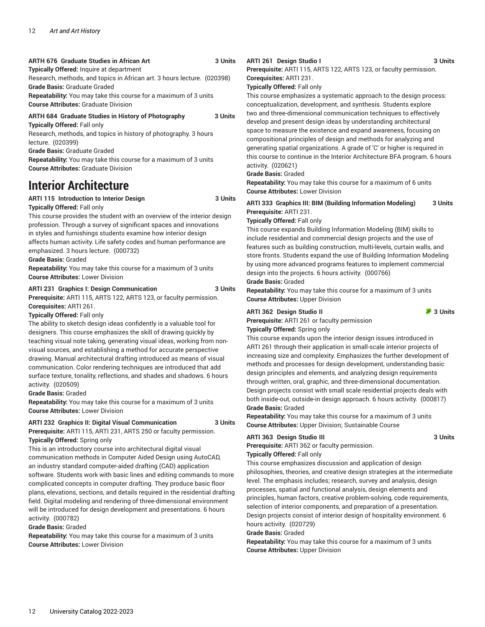#### **ARTH 676 Graduate Studies in African Art 3 Units**

**Typically Offered:** Inquire at department

Research, methods, and topics in African art. 3 hours lecture. (020398) **Grade Basis:** Graduate Graded

**Repeatability:** You may take this course for a maximum of 3 units **Course Attributes:** Graduate Division

#### **ARTH 684 Graduate Studies in History of Photography 3 Units Typically Offered:** Fall only

Research, methods, and topics in history of photography. 3 hours lecture. (020399)

**Grade Basis:** Graduate Graded

**Repeatability:** You may take this course for a maximum of 3 units **Course Attributes:** Graduate Division

# **Interior Architecture**

### **ARTI 115 Introduction to Interior Design 3 Units**

#### **Typically Offered:** Fall only

This course provides the student with an overview of the interior design profession. Through a survey of significant spaces and innovations in styles and furnishings students examine how interior design affects human activity. Life safety codes and human performance are emphasized. 3 hours lecture. (000732)

#### **Grade Basis:** Graded

**Repeatability:** You may take this course for a maximum of 3 units **Course Attributes:** Lower Division

### **ARTI 231 Graphics I: Design Communication 3 Units**

**Prerequisite:** ARTI 115, ARTS 122, ARTS 123, or faculty permission. **Corequisites:** ARTI 261.

#### **Typically Offered:** Fall only

The ability to sketch design ideas confidently is a valuable tool for designers. This course emphasizes the skill of drawing quickly by teaching visual note taking, generating visual ideas, working from nonvisual sources, and establishing a method for accurate perspective drawing. Manual architectural drafting introduced as means of visual communication. Color rendering techniques are introduced that add surface texture, tonality, reflections, and shades and shadows. 6 hours activity. (020509)

#### **Grade Basis:** Graded

**Repeatability:** You may take this course for a maximum of 3 units **Course Attributes:** Lower Division

#### **ARTI 232 Graphics II: Digital Visual Communication 3 Units**

**Prerequisite:** ARTI 115, ARTI 231, ARTS 250 or faculty permission. **Typically Offered:** Spring only

This is an introductory course into architectural digital visual communication methods in Computer Aided Design using AutoCAD, an industry standard computer-aided drafting (CAD) application software. Students work with basic lines and editing commands to more complicated concepts in computer drafting. They produce basic floor plans, elevations, sections, and details required in the residential drafting field. Digital modeling and rendering of three-dimensional environment will be introduced for design development and presentations. 6 hours activity. (000782)

#### **Grade Basis:** Graded

**Repeatability:** You may take this course for a maximum of 3 units **Course Attributes:** Lower Division

#### **ARTI 261 Design Studio I 3 Units**

**Prerequisite:** ARTI 115, ARTS 122, ARTS 123, or faculty permission. **Corequisites:** ARTI 231.

**Typically Offered:** Fall only

This course emphasizes a systematic approach to the design process: conceptualization, development, and synthesis. Students explore two and three-dimensional communication techniques to effectively develop and present design ideas by understanding architectural space to measure the existence and expand awareness, focusing on compositional principles of design and methods for analyzing and generating spatial organizations. A grade of 'C' or higher is required in this course to continue in the Interior Architecture BFA program. 6 hours activity. (020621)

#### **Grade Basis:** Graded

**Repeatability:** You may take this course for a maximum of 6 units **Course Attributes:** Lower Division

#### **ARTI 333 Graphics III: BIM (Building Information Modeling) 3 Units Prerequisite:** ARTI 231.

#### **Typically Offered:** Fall only

This course expands Building Information Modeling (BIM) skills to include residential and commercial design projects and the use of features such as building construction, multi-levels, curtain walls, and store fronts. Students expand the use of Building Information Modeling by using more advanced programs features to implement commercial design into the projects. 6 hours activity. (000766) **Grade Basis:** Graded

**Repeatability:** You may take this course for a maximum of 3 units **Course Attributes:** Upper Division

#### **ARTI** 362 Design Studio II **362 Design Studio II 362 3 Units**

**Prerequisite:** ARTI 261 or faculty permission

**Typically Offered:** Spring only

This course expands upon the interior design issues introduced in ARTI 261 through their application in small-scale interior projects of increasing size and complexity. Emphasizes the further development of methods and processes for design development, understanding basic design principles and elements, and analyzing design requirements through written, oral, graphic, and three-dimensional documentation. Design projects consist with small scale residential projects deals with both inside-out, outside-in design approach. 6 hours activity. (000817) **Grade Basis:** Graded

**Repeatability:** You may take this course for a maximum of 3 units **Course Attributes:** Upper Division; Sustainable Course

#### **ARTI 363 Design Studio III 3 Units**

**Prerequisite:** ARTI 362 or faculty permission.

**Typically Offered:** Fall only

This course emphasizes discussion and application of design philosophies, theories, and creative design strategies at the intermediate level. The emphasis includes; research, survey and analysis, design processes, spatial and functional analysis, design elements and principles, human factors, creative problem-solving, code requirements, selection of interior components, and preparation of a presentation. Design projects consist of interior design of hospitality environment. 6 hours activity. (020729)

#### **Grade Basis:** Graded

**Repeatability:** You may take this course for a maximum of 3 units **Course Attributes:** Upper Division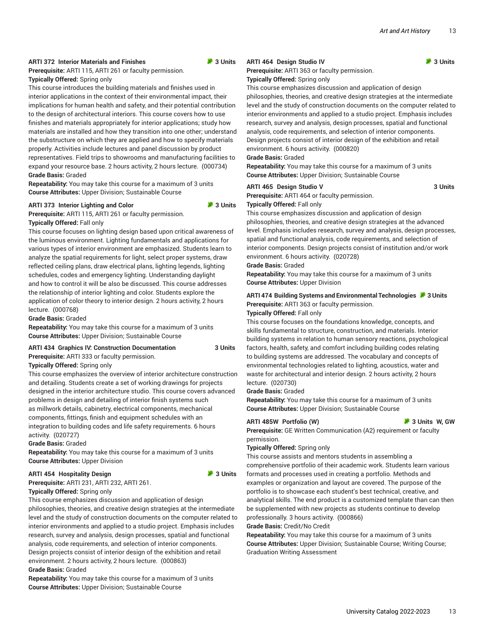#### **ARTI 372 Interior Materials and Finishes 3 Units**

**Prerequisite:** ARTI 115, ARTI 261 or faculty permission.

#### **Typically Offered:** Spring only

This course introduces the building materials and finishes used in interior applications in the context of their environmental impact, their implications for human health and safety, and their potential contribution to the design of architectural interiors. This course covers how to use finishes and materials appropriately for interior applications; study how materials are installed and how they transition into one other; understand the substructure on which they are applied and how to specify materials properly. Activities include lectures and panel discussion by product representatives. Field trips to showrooms and manufacturing facilities to expand your resource base. 2 hours activity, 2 hours lecture. (000734) **Grade Basis:** Graded

**Repeatability:** You may take this course for a maximum of 3 units **Course Attributes:** Upper Division; Sustainable Course

#### **ARTI** 373 Interior Lighting and Color **373** Units

**Prerequisite:** ARTI 115, ARTI 261 or faculty permission.

#### **Typically Offered:** Fall only

This course focuses on lighting design based upon critical awareness of the luminous environment. Lighting fundamentals and applications for various types of interior environment are emphasized. Students learn to analyze the spatial requirements for light, select proper systems, draw reflected ceiling plans, draw electrical plans, lighting legends, lighting schedules, codes and emergency lighting. Understanding daylight and how to control it will be also be discussed. This course addresses the relationship of interior lighting and color. Students explore the application of color theory to interior design. 2 hours activity, 2 hours lecture. (000768)

**Grade Basis:** Graded

**Repeatability:** You may take this course for a maximum of 3 units **Course Attributes:** Upper Division; Sustainable Course

# **ARTI 434 Graphics IV: Construction Documentation 3 Units**

**Prerequisite:** ARTI 333 or faculty permission.

#### **Typically Offered:** Spring only

This course emphasizes the overview of interior architecture construction and detailing. Students create a set of working drawings for projects designed in the interior architecture studio. This course covers advanced problems in design and detailing of interior finish systems such as millwork details, cabinetry, electrical components, mechanical components, fittings, finish and equipment schedules with an integration to building codes and life safety requirements. 6 hours activity. (020727)

#### **Grade Basis:** Graded

**Repeatability:** You may take this course for a maximum of 3 units **Course Attributes:** Upper Division

#### **ARTI 454 Hospitality Design 1999 12:45 The State of ARTI 454 Hospitality Design**

**Prerequisite:** ARTI 231, ARTI 232, ARTI 261. **Typically Offered:** Spring only

This course emphasizes discussion and application of design philosophies, theories, and creative design strategies at the intermediate level and the study of construction documents on the computer related to interior environments and applied to a studio project. Emphasis includes research, survey and analysis, design processes, spatial and functional analysis, code requirements, and selection of interior components. Design projects consist of interior design of the exhibition and retail environment. 2 hours activity, 2 hours lecture. (000863) **Grade Basis:** Graded

**Repeatability:** You may take this course for a maximum of 3 units **Course Attributes:** Upper Division; Sustainable Course

#### **ARTI 464 Design Studio IV 3 Units**

**Prerequisite:** ARTI 363 or faculty permission. **Typically Offered:** Spring only

This course emphasizes discussion and application of design philosophies, theories, and creative design strategies at the intermediate level and the study of construction documents on the computer related to interior environments and applied to a studio project. Emphasis includes research, survey and analysis, design processes, spatial and functional analysis, code requirements, and selection of interior components. Design projects consist of interior design of the exhibition and retail environment. 6 hours activity. (000820)

#### **Grade Basis:** Graded

**Repeatability:** You may take this course for a maximum of 3 units **Course Attributes:** Upper Division; Sustainable Course

#### **ARTI 465 Design Studio V 3 Units**

**Prerequisite:** ARTI 464 or faculty permission.

#### **Typically Offered:** Fall only

This course emphasizes discussion and application of design philosophies, theories, and creative design strategies at the advanced level. Emphasis includes research, survey and analysis, design processes, spatial and functional analysis, code requirements, and selection of interior components. Design projects consist of institution and/or work environment. 6 hours activity. (020728)

#### **Grade Basis:** Graded

**Repeatability:** You may take this course for a maximum of 3 units **Course Attributes:** Upper Division

#### **ARTI 474 Building Systems and Environmental Technologies 3 Units Prerequisite:** ARTI 363 or faculty permission.

#### **Typically Offered:** Fall only

This course focuses on the foundations knowledge, concepts, and skills fundamental to structure, construction, and materials. Interior building systems in relation to human sensory reactions, psychological factors, health, safety, and comfort including building codes relating to building systems are addressed. The vocabulary and concepts of environmental technologies related to lighting, acoustics, water and waste for architectural and interior design. 2 hours activity, 2 hours lecture. (020730)

#### **Grade Basis:** Graded

**Repeatability:** You may take this course for a maximum of 3 units **Course Attributes:** Upper Division; Sustainable Course

#### **ARTI 485W Portfolio (W) 3 Units W, GW**

**Prerequisite:** GE Written Communication (A2) requirement or faculty permission.

#### **Typically Offered:** Spring only

This course assists and mentors students in assembling a comprehensive portfolio of their academic work. Students learn various formats and processes used in creating a portfolio. Methods and examples or organization and layout are covered. The purpose of the portfolio is to showcase each student's best technical, creative, and analytical skills. The end product is a customized template than can then be supplemented with new projects as students continue to develop professionally. 3 hours activity. (000866)

**Grade Basis:** Credit/No Credit

**Repeatability:** You may take this course for a maximum of 3 units **Course Attributes:** Upper Division; Sustainable Course; Writing Course; Graduation Writing Assessment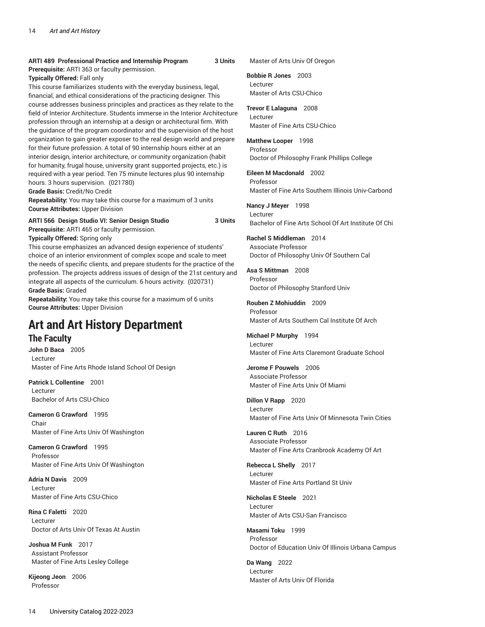#### **ARTI 489 Professional Practice and Internship Program 3 Units Prerequisite:** ARTI 363 or faculty permission.

**Typically Offered:** Fall only

This course familiarizes students with the everyday business, legal, financial, and ethical considerations of the practicing designer. This course addresses business principles and practices as they relate to the field of Interior Architecture. Students immerse in the Interior Architecture profession through an internship at a design or architectural firm. With the guidance of the program coordinator and the supervision of the host organization to gain greater exposer to the real design world and prepare for their future profession. A total of 90 internship hours either at an interior design, interior architecture, or community organization (habit for humanity, frugal house, university grant supported projects, etc.) is required with a year period. Ten 75 minute lectures plus 90 internship hours. 3 hours supervision. (021780)

**Grade Basis:** Credit/No Credit

**Repeatability:** You may take this course for a maximum of 3 units **Course Attributes:** Upper Division

**ARTI 566 Design Studio VI: Senior Design Studio 3 Units Prerequisite:** ARTI 465 or faculty permission.

**Typically Offered:** Spring only

This course emphasizes an advanced design experience of students' choice of an interior environment of complex scope and scale to meet the needs of specific clients, and prepare students for the practice of the profession. The projects address issues of design of the 21st century and integrate all aspects of the curriculum. 6 hours activity. (020731) **Grade Basis:** Graded

**Repeatability:** You may take this course for a maximum of 6 units **Course Attributes:** Upper Division

# **Art and Art History Department**

# **The Faculty**

**John D Baca** 2005 Lecturer Master of Fine Arts Rhode Island School Of Design

**Patrick L Collentine** 2001 Lecturer Bachelor of Arts CSU-Chico

**Cameron G Crawford** 1995 Chair Master of Fine Arts Univ Of Washington

**Cameron G Crawford** 1995 Professor Master of Fine Arts Univ Of Washington

**Adria N Davis** 2009 Lecturer Master of Fine Arts CSU-Chico

**Rina C Faletti** 2020 Lecturer Doctor of Arts Univ Of Texas At Austin

**Joshua M Funk** 2017 Assistant Professor Master of Fine Arts Lesley College

**Kijeong Jeon** 2006 Professor

Master of Arts Univ Of Oregon

**Bobbie R Jones** 2003 Lecturer Master of Arts CSU-Chico

**Trevor E Lalaguna** 2008 Lecturer Master of Fine Arts CSU-Chico

**Matthew Looper** 1998 Professor Doctor of Philosophy Frank Phillips College

**Eileen M Macdonald** 2002 Professor Master of Fine Arts Southern Illinois Univ-Carbond

**Nancy J Meyer** 1998 Lecturer Bachelor of Fine Arts School Of Art Institute Of Chi

**Rachel S Middleman** 2014 Associate Professor Doctor of Philosophy Univ Of Southern Cal

**Asa S Mittman** 2008 Professor Doctor of Philosophy Stanford Univ

**Rouben Z Mohiuddin** 2009 Professor Master of Arts Southern Cal Institute Of Arch

**Michael P Murphy** 1994 Lecturer Master of Fine Arts Claremont Graduate School

**Jerome F Pouwels** 2006 Associate Professor Master of Fine Arts Univ Of Miami

**Dillon V Rapp** 2020 Lecturer Master of Fine Arts Univ Of Minnesota Twin Cities

**Lauren C Ruth** 2016 Associate Professor Master of Fine Arts Cranbrook Academy Of Art

**Rebecca L Shelly** 2017 Lecturer Master of Fine Arts Portland St Univ

**Nicholas E Steele** 2021 Lecturer Master of Arts CSU-San Francisco

**Masami Toku** 1999 Professor Doctor of Education Univ Of Illinois Urbana Campus

**Da Wang** 2022 Lecturer Master of Arts Univ Of Florida